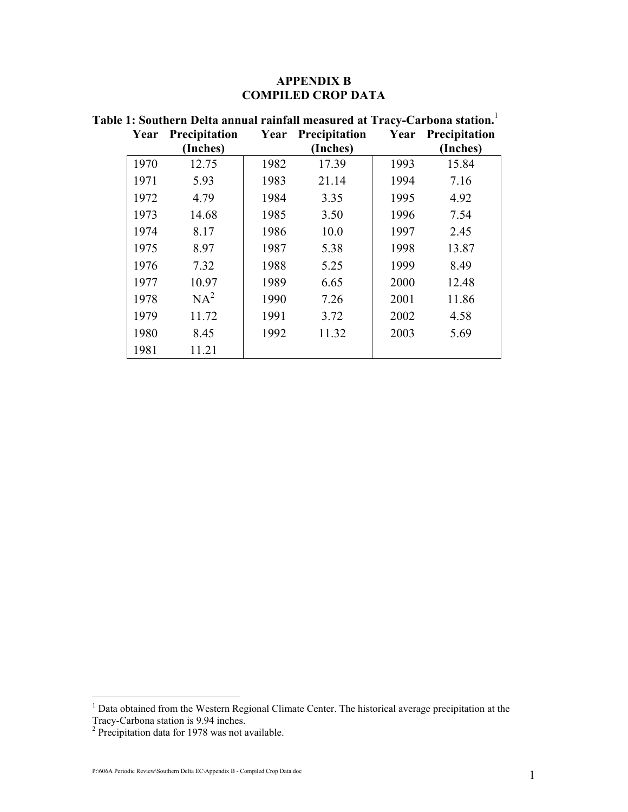#### APPENDIX B COMPILED CROP DATA

| Year | Precipitation<br>(Inches) | Year | <b>Precipitation</b><br>(Inches) | Year | Precipitation<br>(Inches) |
|------|---------------------------|------|----------------------------------|------|---------------------------|
| 1970 | 12.75                     | 1982 | 17.39                            | 1993 | 15.84                     |
| 1971 | 5.93                      | 1983 | 21.14                            | 1994 | 7.16                      |
| 1972 | 4.79                      | 1984 | 3.35                             | 1995 | 4.92                      |
| 1973 | 14.68                     | 1985 | 3.50                             | 1996 | 7.54                      |
| 1974 | 8.17                      | 1986 | 10.0                             | 1997 | 2.45                      |
| 1975 | 8.97                      | 1987 | 5.38                             | 1998 | 13.87                     |
| 1976 | 7.32                      | 1988 | 5.25                             | 1999 | 8.49                      |
| 1977 | 10.97                     | 1989 | 6.65                             | 2000 | 12.48                     |
| 1978 | $NA^2$                    | 1990 | 7.26                             | 2001 | 11.86                     |
| 1979 | 11.72                     | 1991 | 3.72                             | 2002 | 4.58                      |
| 1980 | 8.45                      | 1992 | 11.32                            | 2003 | 5.69                      |
| 1981 | 11.21                     |      |                                  |      |                           |

# Table 1: Southern Delta annual rainfall measured at Tracy-Carbona station.<sup>1</sup>

 1 Data obtained from the Western Regional Climate Center. The historical average precipitation at the Tracy-Carbona station is 9.94 inches. 2 Precipitation data for 1978 was not available.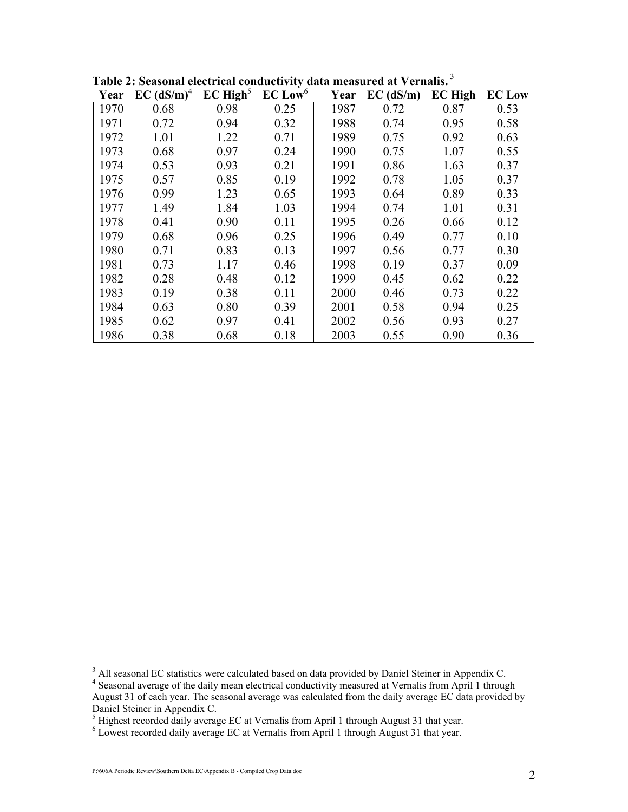| Year | $EC$ (dS/m) <sup>4</sup> | EC High <sup>5</sup> | EC Low <sup>6</sup> | Year | $EC$ (dS/m) | <b>EC High</b> | <b>EC</b> Low |
|------|--------------------------|----------------------|---------------------|------|-------------|----------------|---------------|
| 1970 | 0.68                     | 0.98                 | 0.25                | 1987 | 0.72        | 0.87           | 0.53          |
| 1971 | 0.72                     | 0.94                 | 0.32                | 1988 | 0.74        | 0.95           | 0.58          |
| 1972 | 1.01                     | 1.22                 | 0.71                | 1989 | 0.75        | 0.92           | 0.63          |
| 1973 | 0.68                     | 0.97                 | 0.24                | 1990 | 0.75        | 1.07           | 0.55          |
| 1974 | 0.53                     | 0.93                 | 0.21                | 1991 | 0.86        | 1.63           | 0.37          |
| 1975 | 0.57                     | 0.85                 | 0.19                | 1992 | 0.78        | 1.05           | 0.37          |
| 1976 | 0.99                     | 1.23                 | 0.65                | 1993 | 0.64        | 0.89           | 0.33          |
| 1977 | 1.49                     | 1.84                 | 1.03                | 1994 | 0.74        | 1.01           | 0.31          |
| 1978 | 0.41                     | 0.90                 | 0.11                | 1995 | 0.26        | 0.66           | 0.12          |
| 1979 | 0.68                     | 0.96                 | 0.25                | 1996 | 0.49        | 0.77           | 0.10          |
| 1980 | 0.71                     | 0.83                 | 0.13                | 1997 | 0.56        | 0.77           | 0.30          |
| 1981 | 0.73                     | 1.17                 | 0.46                | 1998 | 0.19        | 0.37           | 0.09          |
| 1982 | 0.28                     | 0.48                 | 0.12                | 1999 | 0.45        | 0.62           | 0.22          |
| 1983 | 0.19                     | 0.38                 | 0.11                | 2000 | 0.46        | 0.73           | 0.22          |
| 1984 | 0.63                     | 0.80                 | 0.39                | 2001 | 0.58        | 0.94           | 0.25          |
| 1985 | 0.62                     | 0.97                 | 0.41                | 2002 | 0.56        | 0.93           | 0.27          |
| 1986 | 0.38                     | 0.68                 | 0.18                | 2003 | 0.55        | 0.90           | 0.36          |

Table 2: Seasonal electrical conductivity data measured at Vernalis.<sup>3</sup>

<sup>&</sup>lt;sup>3</sup> All seasonal EC statistics were calculated based on data provided by Daniel Steiner in Appendix C.

<sup>&</sup>lt;sup>4</sup> Seasonal average of the daily mean electrical conductivity measured at Vernalis from April 1 through August 31 of each year. The seasonal average was calculated from the daily average EC data provided by

Daniel Steiner in Appendix C.<br><sup>5</sup> Highest recorded daily average EC at Vernalis from April 1 through August 31 that year.

<sup>&</sup>lt;sup>6</sup> Lowest recorded daily average EC at Vernalis from April 1 through August 31 that year.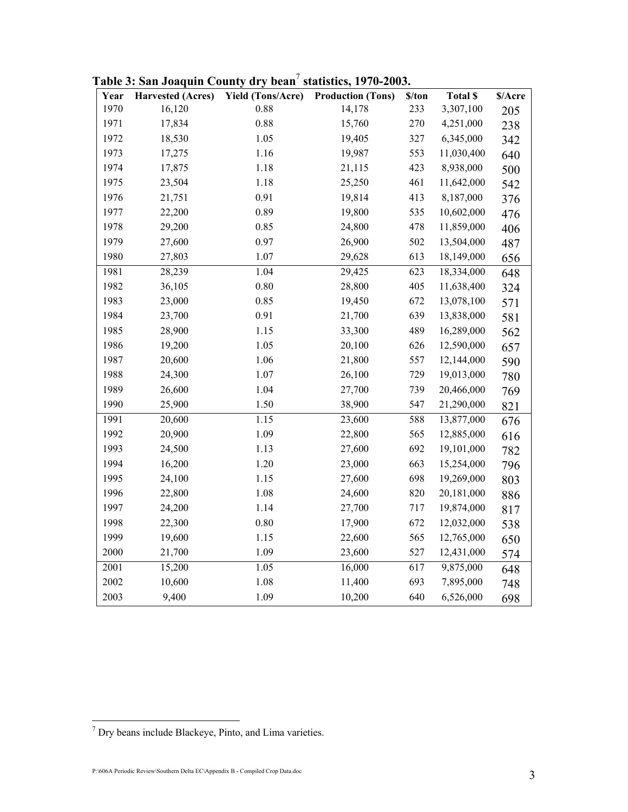| Year | <b>Harvested (Acres)</b> | <b>Yield (Tons/Acre)</b> | <b>Production (Tons)</b> | \$/ton | <b>Total \$</b> | \$/Acre |
|------|--------------------------|--------------------------|--------------------------|--------|-----------------|---------|
| 1970 | 16,120                   | 0.88                     | 14,178                   | 233    | 3,307,100       | 205     |
| 1971 | 17,834                   | 0.88                     | 15,760                   | 270    | 4,251,000       | 238     |
| 1972 | 18,530                   | 1.05                     | 19,405                   | 327    | 6,345,000       | 342     |
| 1973 | 17,275                   | 1.16                     | 19,987                   | 553    | 11,030,400      | 640     |
| 1974 | 17,875                   | 1.18                     | 21,115                   | 423    | 8,938,000       | 500     |
| 1975 | 23,504                   | 1.18                     | 25,250                   | 461    | 11,642,000      | 542     |
| 1976 | 21,751                   | 0.91                     | 19,814                   | 413    | 8,187,000       | 376     |
| 1977 | 22,200                   | 0.89                     | 19,800                   | 535    | 10,602,000      | 476     |
| 1978 | 29,200                   | 0.85                     | 24,800                   | 478    | 11,859,000      | 406     |
| 1979 | 27,600                   | 0.97                     | 26,900                   | 502    | 13,504,000      | 487     |
| 1980 | 27,803                   | 1.07                     | 29,628                   | 613    | 18,149,000      | 656     |
| 1981 | 28,239                   | 1.04                     | 29,425                   | 623    | 18,334,000      | 648     |
| 1982 | 36,105                   | $0.80\,$                 | 28,800                   | 405    | 11,638,400      | 324     |
| 1983 | 23,000                   | 0.85                     | 19,450                   | 672    | 13,078,100      | 571     |
| 1984 | 23,700                   | 0.91                     | 21,700                   | 639    | 13,838,000      | 581     |
| 1985 | 28,900                   | 1.15                     | 33,300                   | 489    | 16,289,000      | 562     |
| 1986 | 19,200                   | 1.05                     | 20,100                   | 626    | 12,590,000      | 657     |
| 1987 | 20,600                   | 1.06                     | 21,800                   | 557    | 12,144,000      | 590     |
| 1988 | 24,300                   | 1.07                     | 26,100                   | 729    | 19,013,000      | 780     |
| 1989 | 26,600                   | 1.04                     | 27,700                   | 739    | 20,466,000      | 769     |
| 1990 | 25,900                   | 1.50                     | 38,900                   | 547    | 21,290,000      | 821     |
| 1991 | 20,600                   | 1.15                     | 23,600                   | 588    | 13,877,000      | 676     |
| 1992 | 20,900                   | 1.09                     | 22,800                   | 565    | 12,885,000      | 616     |
| 1993 | 24,500                   | 1.13                     | 27,600                   | 692    | 19,101,000      | 782     |
| 1994 | 16,200                   | 1.20                     | 23,000                   | 663    | 15,254,000      | 796     |
| 1995 | 24,100                   | 1.15                     | 27,600                   | 698    | 19,269,000      | 803     |
| 1996 | 22,800                   | 1.08                     | 24,600                   | 820    | 20,181,000      | 886     |
| 1997 | 24,200                   | 1.14                     | 27,700                   | 717    | 19,874,000      | 817     |
| 1998 | 22,300                   | 0.80                     | 17,900                   | 672    | 12,032,000      | 538     |
| 1999 | 19,600                   | 1.15                     | 22,600                   | 565    | 12,765,000      | 650     |
| 2000 | 21,700                   | 1.09                     | 23,600                   | 527    | 12,431,000      | 574     |
| 2001 | 15,200                   | 1.05                     | 16,000                   | 617    | 9,875,000       | 648     |
| 2002 | 10,600                   | 1.08                     | 11,400                   | 693    | 7,895,000       | 748     |
| 2003 | 9,400                    | 1.09                     | 10,200                   | 640    | 6,526,000       | 698     |

Table 3: San Joaquin County dry bean<sup>7</sup> statistics, 1970-2003.

 7 Dry beans include Blackeye, Pinto, and Lima varieties.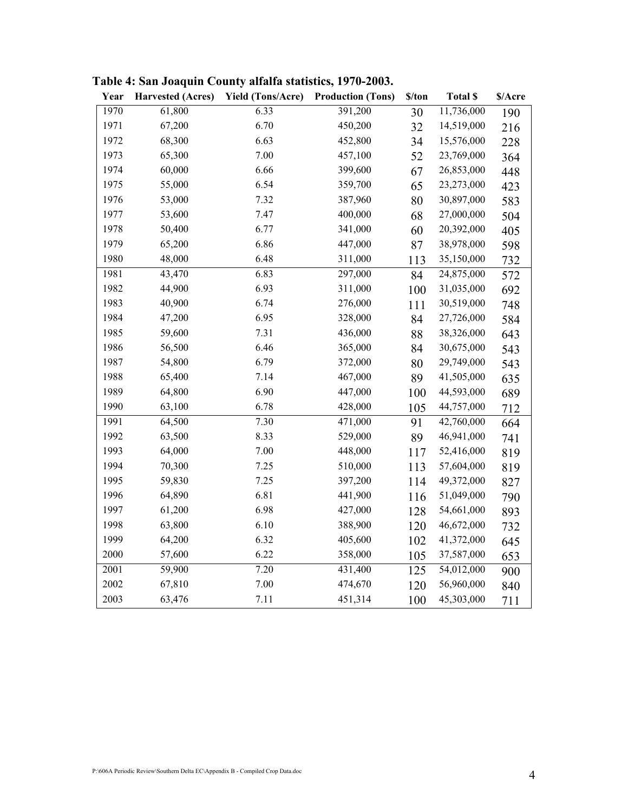| Year | <b>Harvested (Acres)</b> | <b>Yield (Tons/Acre)</b> | <b>Production (Tons)</b> | \$/ton | <b>Total \$</b> | \$/Acre |
|------|--------------------------|--------------------------|--------------------------|--------|-----------------|---------|
| 1970 | 61,800                   | 6.33                     | 391,200                  | 30     | 11,736,000      | 190     |
| 1971 | 67,200                   | 6.70                     | 450,200                  | 32     | 14,519,000      | 216     |
| 1972 | 68,300                   | 6.63                     | 452,800                  | 34     | 15,576,000      | 228     |
| 1973 | 65,300                   | 7.00                     | 457,100                  | 52     | 23,769,000      | 364     |
| 1974 | 60,000                   | 6.66                     | 399,600                  | 67     | 26,853,000      | 448     |
| 1975 | 55,000                   | 6.54                     | 359,700                  | 65     | 23,273,000      | 423     |
| 1976 | 53,000                   | 7.32                     | 387,960                  | 80     | 30,897,000      | 583     |
| 1977 | 53,600                   | 7.47                     | 400,000                  | 68     | 27,000,000      | 504     |
| 1978 | 50,400                   | 6.77                     | 341,000                  | 60     | 20,392,000      | 405     |
| 1979 | 65,200                   | 6.86                     | 447,000                  | 87     | 38,978,000      | 598     |
| 1980 | 48,000                   | 6.48                     | 311,000                  | 113    | 35,150,000      | 732     |
| 1981 | 43,470                   | 6.83                     | 297,000                  | 84     | 24,875,000      | 572     |
| 1982 | 44,900                   | 6.93                     | 311,000                  | 100    | 31,035,000      | 692     |
| 1983 | 40,900                   | 6.74                     | 276,000                  | 111    | 30,519,000      | 748     |
| 1984 | 47,200                   | 6.95                     | 328,000                  | 84     | 27,726,000      | 584     |
| 1985 | 59,600                   | 7.31                     | 436,000                  | 88     | 38,326,000      | 643     |
| 1986 | 56,500                   | 6.46                     | 365,000                  | 84     | 30,675,000      | 543     |
| 1987 | 54,800                   | 6.79                     | 372,000                  | 80     | 29,749,000      | 543     |
| 1988 | 65,400                   | 7.14                     | 467,000                  | 89     | 41,505,000      | 635     |
| 1989 | 64,800                   | 6.90                     | 447,000                  | 100    | 44,593,000      | 689     |
| 1990 | 63,100                   | 6.78                     | 428,000                  | 105    | 44,757,000      | 712     |
| 1991 | 64,500                   | 7.30                     | 471,000                  | 91     | 42,760,000      | 664     |
| 1992 | 63,500                   | 8.33                     | 529,000                  | 89     | 46,941,000      | 741     |
| 1993 | 64,000                   | 7.00                     | 448,000                  | 117    | 52,416,000      | 819     |
| 1994 | 70,300                   | 7.25                     | 510,000                  | 113    | 57,604,000      | 819     |
| 1995 | 59,830                   | 7.25                     | 397,200                  | 114    | 49,372,000      | 827     |
| 1996 | 64,890                   | 6.81                     | 441,900                  | 116    | 51,049,000      | 790     |
| 1997 | 61,200                   | 6.98                     | 427,000                  | 128    | 54,661,000      | 893     |
| 1998 | 63,800                   | 6.10                     | 388,900                  | 120    | 46,672,000      | 732     |
| 1999 | 64,200                   | 6.32                     | 405,600                  | 102    | 41,372,000      | 645     |
| 2000 | 57,600                   | 6.22                     | 358,000                  | 105    | 37,587,000      | 653     |
| 2001 | 59,900                   | 7.20                     | 431,400                  | 125    | 54,012,000      | 900     |
| 2002 | 67,810                   | 7.00                     | 474,670                  | 120    | 56,960,000      | 840     |
| 2003 | 63,476                   | 7.11                     | 451,314                  | 100    | 45,303,000      | 711     |

Table 4: San Joaquin County alfalfa statistics, 1970-2003.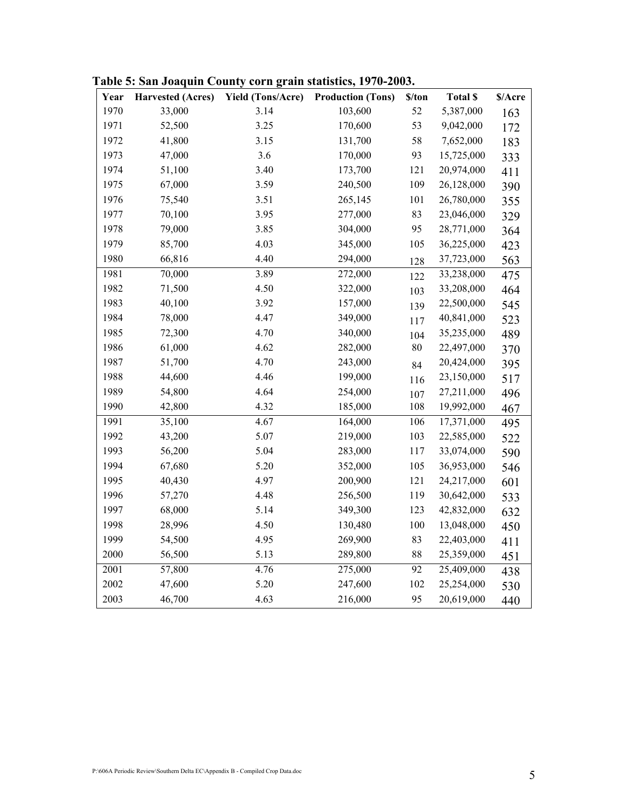| Year | <b>Harvested (Acres)</b> | <b>Yield (Tons/Acre)</b> | <b>Production (Tons)</b> | \$/ton | <b>Total \$</b> | \$/Acre |
|------|--------------------------|--------------------------|--------------------------|--------|-----------------|---------|
| 1970 | 33,000                   | 3.14                     | 103,600                  | 52     | 5,387,000       | 163     |
| 1971 | 52,500                   | 3.25                     | 170,600                  | 53     | 9,042,000       | 172     |
| 1972 | 41,800                   | 3.15                     | 131,700                  | 58     | 7,652,000       | 183     |
| 1973 | 47,000                   | 3.6                      | 170,000                  | 93     | 15,725,000      | 333     |
| 1974 | 51,100                   | 3.40                     | 173,700                  | 121    | 20,974,000      | 411     |
| 1975 | 67,000                   | 3.59                     | 240,500                  | 109    | 26,128,000      | 390     |
| 1976 | 75,540                   | 3.51                     | 265,145                  | 101    | 26,780,000      | 355     |
| 1977 | 70,100                   | 3.95                     | 277,000                  | 83     | 23,046,000      | 329     |
| 1978 | 79,000                   | 3.85                     | 304,000                  | 95     | 28,771,000      | 364     |
| 1979 | 85,700                   | 4.03                     | 345,000                  | 105    | 36,225,000      | 423     |
| 1980 | 66,816                   | 4.40                     | 294,000                  | 128    | 37,723,000      | 563     |
| 1981 | 70,000                   | 3.89                     | 272,000                  | 122    | 33,238,000      | 475     |
| 1982 | 71,500                   | 4.50                     | 322,000                  | 103    | 33,208,000      | 464     |
| 1983 | 40,100                   | 3.92                     | 157,000                  | 139    | 22,500,000      | 545     |
| 1984 | 78,000                   | 4.47                     | 349,000                  | 117    | 40,841,000      | 523     |
| 1985 | 72,300                   | 4.70                     | 340,000                  | 104    | 35,235,000      | 489     |
| 1986 | 61,000                   | 4.62                     | 282,000                  | 80     | 22,497,000      | 370     |
| 1987 | 51,700                   | 4.70                     | 243,000                  | 84     | 20,424,000      | 395     |
| 1988 | 44,600                   | 4.46                     | 199,000                  | 116    | 23,150,000      | 517     |
| 1989 | 54,800                   | 4.64                     | 254,000                  | 107    | 27,211,000      | 496     |
| 1990 | 42,800                   | 4.32                     | 185,000                  | 108    | 19,992,000      | 467     |
| 1991 | 35,100                   | 4.67                     | 164,000                  | 106    | 17,371,000      | 495     |
| 1992 | 43,200                   | 5.07                     | 219,000                  | 103    | 22,585,000      | 522     |
| 1993 | 56,200                   | 5.04                     | 283,000                  | 117    | 33,074,000      | 590     |
| 1994 | 67,680                   | 5.20                     | 352,000                  | 105    | 36,953,000      | 546     |
| 1995 | 40,430                   | 4.97                     | 200,900                  | 121    | 24,217,000      | 601     |
| 1996 | 57,270                   | 4.48                     | 256,500                  | 119    | 30,642,000      | 533     |
| 1997 | 68,000                   | 5.14                     | 349,300                  | 123    | 42,832,000      | 632     |
| 1998 | 28,996                   | 4.50                     | 130,480                  | 100    | 13,048,000      | 450     |
| 1999 | 54,500                   | 4.95                     | 269,900                  | 83     | 22,403,000      | 411     |
| 2000 | 56,500                   | 5.13                     | 289,800                  | 88     | 25,359,000      | 451     |
| 2001 | 57,800                   | 4.76                     | 275,000                  | 92     | 25,409,000      | 438     |
| 2002 | 47,600                   | 5.20                     | 247,600                  | 102    | 25,254,000      | 530     |
| 2003 | 46,700                   | 4.63                     | 216,000                  | 95     | 20,619,000      | 440     |

Table 5: San Joaquin County corn grain statistics, 1970-2003.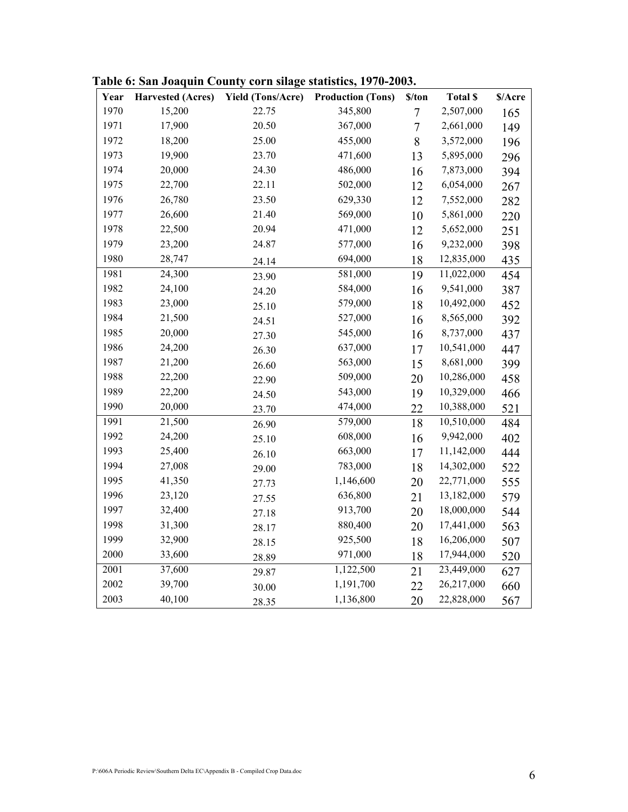| Year | <b>Harvested (Acres)</b> | <b>Yield (Tons/Acre)</b> | <b>Production (Tons)</b> | \$/ton         | <b>Total \$</b> | \$/Acre |
|------|--------------------------|--------------------------|--------------------------|----------------|-----------------|---------|
| 1970 | 15,200                   | 22.75                    | 345,800                  | $\overline{7}$ | 2,507,000       | 165     |
| 1971 | 17,900                   | 20.50                    | 367,000                  | $\overline{7}$ | 2,661,000       | 149     |
| 1972 | 18,200                   | 25.00                    | 455,000                  | 8              | 3,572,000       | 196     |
| 1973 | 19,900                   | 23.70                    | 471,600                  | 13             | 5,895,000       | 296     |
| 1974 | 20,000                   | 24.30                    | 486,000                  | 16             | 7,873,000       | 394     |
| 1975 | 22,700                   | 22.11                    | 502,000                  | 12             | 6,054,000       | 267     |
| 1976 | 26,780                   | 23.50                    | 629,330                  | 12             | 7,552,000       | 282     |
| 1977 | 26,600                   | 21.40                    | 569,000                  | 10             | 5,861,000       | 220     |
| 1978 | 22,500                   | 20.94                    | 471,000                  | 12             | 5,652,000       | 251     |
| 1979 | 23,200                   | 24.87                    | 577,000                  | 16             | 9,232,000       | 398     |
| 1980 | 28,747                   | 24.14                    | 694,000                  | 18             | 12,835,000      | 435     |
| 1981 | 24,300                   | 23.90                    | 581,000                  | 19             | 11,022,000      | 454     |
| 1982 | 24,100                   | 24.20                    | 584,000                  | 16             | 9,541,000       | 387     |
| 1983 | 23,000                   | 25.10                    | 579,000                  | 18             | 10,492,000      | 452     |
| 1984 | 21,500                   | 24.51                    | 527,000                  | 16             | 8,565,000       | 392     |
| 1985 | 20,000                   | 27.30                    | 545,000                  | 16             | 8,737,000       | 437     |
| 1986 | 24,200                   | 26.30                    | 637,000                  | 17             | 10,541,000      | 447     |
| 1987 | 21,200                   | 26.60                    | 563,000                  | 15             | 8,681,000       | 399     |
| 1988 | 22,200                   | 22.90                    | 509,000                  | 20             | 10,286,000      | 458     |
| 1989 | 22,200                   | 24.50                    | 543,000                  | 19             | 10,329,000      | 466     |
| 1990 | 20,000                   | 23.70                    | 474,000                  | 22             | 10,388,000      | 521     |
| 1991 | 21,500                   | 26.90                    | 579,000                  | 18             | 10,510,000      | 484     |
| 1992 | 24,200                   | 25.10                    | 608,000                  | 16             | 9,942,000       | 402     |
| 1993 | 25,400                   | 26.10                    | 663,000                  | 17             | 11,142,000      | 444     |
| 1994 | 27,008                   | 29.00                    | 783,000                  | 18             | 14,302,000      | 522     |
| 1995 | 41,350                   | 27.73                    | 1,146,600                | 20             | 22,771,000      | 555     |
| 1996 | 23,120                   | 27.55                    | 636,800                  | 21             | 13,182,000      | 579     |
| 1997 | 32,400                   | 27.18                    | 913,700                  | 20             | 18,000,000      | 544     |
| 1998 | 31,300                   | 28.17                    | 880,400                  | 20             | 17,441,000      | 563     |
| 1999 | 32,900                   | 28.15                    | 925,500                  | 18             | 16,206,000      | 507     |
| 2000 | 33,600                   | 28.89                    | 971,000                  | 18             | 17,944,000      | 520     |
| 2001 | 37,600                   | 29.87                    | 1,122,500                | 21             | 23,449,000      | 627     |
| 2002 | 39,700                   | 30.00                    | 1,191,700                | 22             | 26,217,000      | 660     |
| 2003 | 40,100                   | 28.35                    | 1,136,800                | 20             | 22,828,000      | 567     |

Table 6: San Joaquin County corn silage statistics, 1970-2003.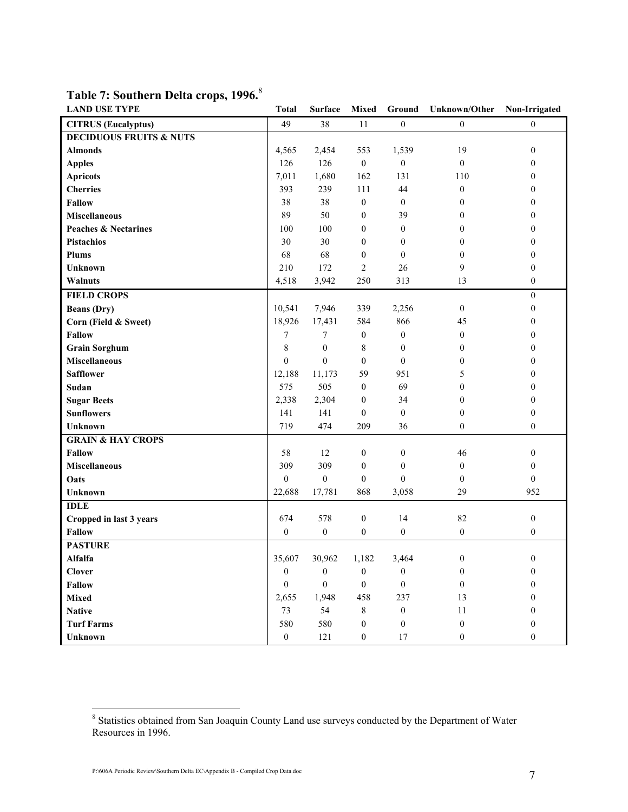| <b>LAND USE TYPE</b>               | <b>Total</b>     | <b>Surface</b>   | <b>Mixed</b>     | Ground           | <b>Unknown/Other</b> | Non-Irrigated    |
|------------------------------------|------------------|------------------|------------------|------------------|----------------------|------------------|
| <b>CITRUS</b> (Eucalyptus)         | 49               | 38               | 11               | $\mathbf{0}$     | $\boldsymbol{0}$     | $\mathbf{0}$     |
| <b>DECIDUOUS FRUITS &amp; NUTS</b> |                  |                  |                  |                  |                      |                  |
| <b>Almonds</b>                     | 4,565            | 2,454            | 553              | 1,539            | 19                   | $\boldsymbol{0}$ |
| <b>Apples</b>                      | 126              | 126              | $\boldsymbol{0}$ | $\boldsymbol{0}$ | $\mathbf{0}$         | $\mathbf{0}$     |
| <b>Apricots</b>                    | 7,011            | 1,680            | 162              | 131              | 110                  | $\overline{0}$   |
| <b>Cherries</b>                    | 393              | 239              | 111              | 44               | $\overline{0}$       | $\theta$         |
| <b>Fallow</b>                      | 38               | 38               | $\boldsymbol{0}$ | $\mathbf{0}$     | $\overline{0}$       | $\theta$         |
| <b>Miscellaneous</b>               | 89               | 50               | $\overline{0}$   | 39               | $\overline{0}$       | $\theta$         |
| <b>Peaches &amp; Nectarines</b>    | 100              | 100              | $\overline{0}$   | $\mathbf{0}$     | $\mathbf{0}$         | $\theta$         |
| <b>Pistachios</b>                  | 30               | 30               | $\overline{0}$   | $\mathbf{0}$     | $\overline{0}$       | $\theta$         |
| Plums                              | 68               | 68               | $\boldsymbol{0}$ | $\mathbf{0}$     | $\boldsymbol{0}$     | $\boldsymbol{0}$ |
| <b>Unknown</b>                     | 210              | 172              | $\overline{2}$   | 26               | 9                    | $\boldsymbol{0}$ |
| Walnuts                            | 4,518            | 3,942            | 250              | 313              | 13                   | $\boldsymbol{0}$ |
| <b>FIELD CROPS</b>                 |                  |                  |                  |                  |                      | $\boldsymbol{0}$ |
| <b>Beans</b> (Dry)                 | 10,541           | 7,946            | 339              | 2,256            | $\boldsymbol{0}$     | $\mathbf{0}$     |
| Corn (Field & Sweet)               | 18,926           | 17,431           | 584              | 866              | 45                   | $\theta$         |
| <b>Fallow</b>                      | 7                | 7                | $\boldsymbol{0}$ | $\boldsymbol{0}$ | $\boldsymbol{0}$     | $\boldsymbol{0}$ |
| <b>Grain Sorghum</b>               | $\,8\,$          | $\boldsymbol{0}$ | 8                | $\boldsymbol{0}$ | $\overline{0}$       | $\theta$         |
| <b>Miscellaneous</b>               | $\boldsymbol{0}$ | $\mathbf{0}$     | $\theta$         | $\theta$         | $\overline{0}$       | $\theta$         |
| <b>Safflower</b>                   | 12,188           | 11,173           | 59               | 951              | 5                    | $\theta$         |
| Sudan                              | 575              | 505              | $\boldsymbol{0}$ | 69               | $\mathbf{0}$         | $\theta$         |
| <b>Sugar Beets</b>                 | 2,338            | 2,304            | $\boldsymbol{0}$ | 34               | $\overline{0}$       | $\theta$         |
| <b>Sunflowers</b>                  | 141              | 141              | $\mathbf{0}$     | $\mathbf{0}$     | $\mathbf{0}$         | $\theta$         |
| <b>Unknown</b>                     | 719              | 474              | 209              | 36               | $\mathbf{0}$         | $\mathbf{0}$     |
| <b>GRAIN &amp; HAY CROPS</b>       |                  |                  |                  |                  |                      |                  |
| <b>Fallow</b>                      | 58               | 12               | $\boldsymbol{0}$ | $\boldsymbol{0}$ | 46                   | $\mathbf{0}$     |
| <b>Miscellaneous</b>               | 309              | 309              | $\mathbf{0}$     | $\mathbf{0}$     | $\mathbf{0}$         | $\mathbf{0}$     |
| Oats                               | $\boldsymbol{0}$ | $\boldsymbol{0}$ | $\overline{0}$   | $\theta$         | $\overline{0}$       | $\theta$         |
| <b>Unknown</b>                     | 22,688           | 17,781           | 868              | 3,058            | 29                   | 952              |
| <b>IDLE</b>                        |                  |                  |                  |                  |                      |                  |
| Cropped in last 3 years            | 674              | 578              | $\boldsymbol{0}$ | 14               | 82                   | $\boldsymbol{0}$ |
| Fallow                             | $\boldsymbol{0}$ | $\boldsymbol{0}$ | $\boldsymbol{0}$ | $\boldsymbol{0}$ | $\boldsymbol{0}$     | $\boldsymbol{0}$ |
| <b>PASTURE</b>                     |                  |                  |                  |                  |                      |                  |
| Alfalfa                            | 35,607           | 30,962           | 1,182            | 3,464            | $\boldsymbol{0}$     | $\boldsymbol{0}$ |
| <b>Clover</b>                      | $\mathbf{0}$     | $\mathbf{0}$     | $\theta$         | $\mathbf{0}$     | $\boldsymbol{0}$     | $\mathbf{0}$     |
| <b>Fallow</b>                      | $\boldsymbol{0}$ | $\theta$         | $\theta$         | $\theta$         | $\overline{0}$       | $\theta$         |
| <b>Mixed</b>                       | 2,655            | 1,948            | 458              | 237              | 13                   | $\theta$         |
| <b>Native</b>                      | 73               | 54               | $8\,$            | $\boldsymbol{0}$ | 11                   | $\theta$         |
| <b>Turf Farms</b>                  | 580              | 580              | $\mathbf{0}$     | $\boldsymbol{0}$ | $\boldsymbol{0}$     | $\boldsymbol{0}$ |
| Unknown                            | $\boldsymbol{0}$ | 121              | $\boldsymbol{0}$ | 17               | $\boldsymbol{0}$     | $\boldsymbol{0}$ |

## Table 7: Southern Delta crops, 1996.<sup>8</sup>

<sup>&</sup>lt;sup>8</sup> Statistics obtained from San Joaquin County Land use surveys conducted by the Department of Water Resources in 1996.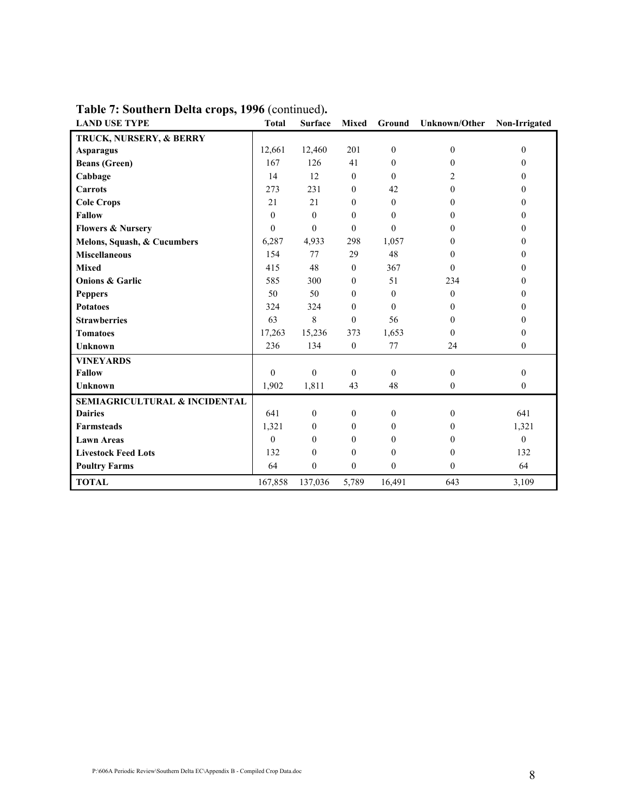| <b>LAND USE TYPE</b>                     | <b>Total</b> | <b>Surface</b>   | <b>Mixed</b> | Ground       | <b>Unknown/Other</b> | Non-Irrigated |
|------------------------------------------|--------------|------------------|--------------|--------------|----------------------|---------------|
| TRUCK, NURSERY, & BERRY                  |              |                  |              |              |                      |               |
| <b>Asparagus</b>                         | 12,661       | 12,460           | 201          | $\mathbf{0}$ | $\mathbf{0}$         | $\theta$      |
| <b>Beans</b> (Green)                     | 167          | 126              | 41           | $\theta$     | 0                    | $\Omega$      |
| Cabbage                                  | 14           | 12               | $\theta$     | $\Omega$     | 2                    | $\Omega$      |
| <b>Carrots</b>                           | 273          | 231              | $\theta$     | 42           | $\theta$             | $\Omega$      |
| <b>Cole Crops</b>                        | 21           | 21               | $\theta$     | $\theta$     | 0                    | $\Omega$      |
| <b>Fallow</b>                            | $\Omega$     | $\theta$         | $\Omega$     | $\Omega$     | $\theta$             | $\Omega$      |
| <b>Flowers &amp; Nursery</b>             | $\theta$     | $\mathbf{0}$     | $\mathbf{0}$ | $\mathbf{0}$ | $\Omega$             | $\mathbf{0}$  |
| Melons, Squash, & Cucumbers              | 6,287        | 4,933            | 298          | 1,057        | 0                    | $\Omega$      |
| <b>Miscellaneous</b>                     | 154          | 77               | 29           | 48           | $\Omega$             | $\Omega$      |
| <b>Mixed</b>                             | 415          | 48               | $\mathbf{0}$ | 367          | $\theta$             | $\Omega$      |
| <b>Onions &amp; Garlic</b>               | 585          | 300              | $\mathbf{0}$ | 51           | 234                  | 0             |
| <b>Peppers</b>                           | 50           | 50               | $\mathbf{0}$ | $\theta$     | $\mathbf{0}$         | $\Omega$      |
| <b>Potatoes</b>                          | 324          | 324              | $\theta$     | $\theta$     | $\theta$             | $\Omega$      |
| <b>Strawberries</b>                      | 63           | 8                | $\theta$     | 56           | 0                    | $\Omega$      |
| <b>Tomatoes</b>                          | 17,263       | 15,236           | 373          | 1,653        | $\theta$             | $\mathbf{0}$  |
| <b>Unknown</b>                           | 236          | 134              | $\mathbf{0}$ | 77           | 24                   | $\mathbf{0}$  |
| <b>VINEYARDS</b>                         |              |                  |              |              |                      |               |
| <b>Fallow</b>                            | $\theta$     | $\mathbf{0}$     | $\mathbf{0}$ | $\theta$     | $\mathbf{0}$         | $\mathbf{0}$  |
| <b>Unknown</b>                           | 1,902        | 1,811            | 43           | 48           | $\mathbf{0}$         | $\mathbf{0}$  |
| <b>SEMIAGRICULTURAL &amp; INCIDENTAL</b> |              |                  |              |              |                      |               |
| <b>Dairies</b>                           | 641          | $\mathbf{0}$     | $\mathbf{0}$ | $\mathbf{0}$ | $\theta$             | 641           |
| <b>Farmsteads</b>                        | 1,321        | $\mathbf{0}$     | $\mathbf{0}$ | $\mathbf{0}$ | $\mathbf{0}$         | 1,321         |
| <b>Lawn Areas</b>                        | $\Omega$     | $\mathbf{0}$     | $\mathbf{0}$ | $\theta$     | 0                    | $\theta$      |
| <b>Livestock Feed Lots</b>               | 132          | $\theta$         | $\theta$     | $\theta$     | $\Omega$             | 132           |
| <b>Poultry Farms</b>                     | 64           | $\boldsymbol{0}$ | $\mathbf{0}$ | $\mathbf{0}$ | $\mathbf{0}$         | 64            |
| <b>TOTAL</b>                             | 167,858      | 137,036          | 5,789        | 16,491       | 643                  | 3,109         |

Table 7: Southern Delta crops, 1996 (continued).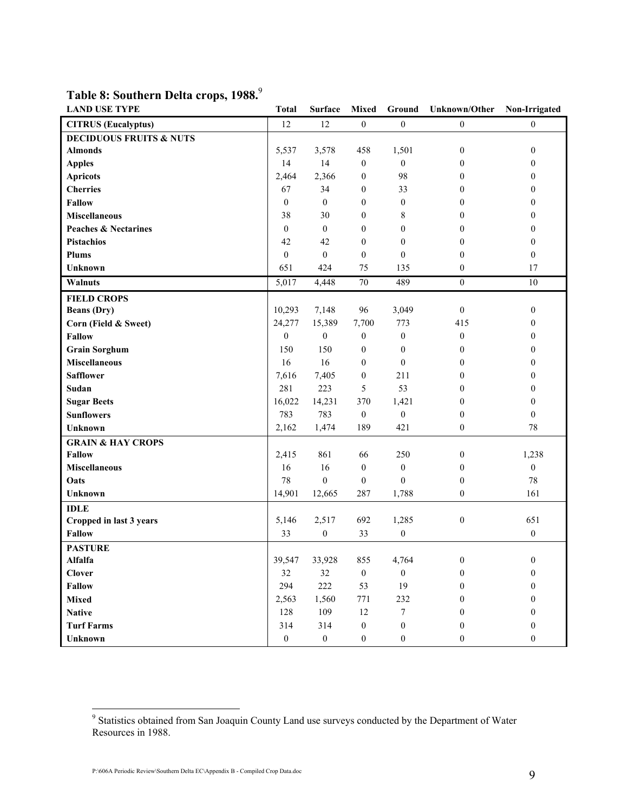| <b>LAND USE TYPE</b>               | <b>Total</b>     | <b>Surface</b>   |                  |                  | Mixed Ground Unknown/Other Non-Irrigated |                  |
|------------------------------------|------------------|------------------|------------------|------------------|------------------------------------------|------------------|
| <b>CITRUS</b> (Eucalyptus)         | 12               | 12               | $\boldsymbol{0}$ | $\boldsymbol{0}$ | $\boldsymbol{0}$                         | $\overline{0}$   |
| <b>DECIDUOUS FRUITS &amp; NUTS</b> |                  |                  |                  |                  |                                          |                  |
| <b>Almonds</b>                     | 5,537            | 3,578            | 458              | 1,501            | $\boldsymbol{0}$                         | $\boldsymbol{0}$ |
| <b>Apples</b>                      | 14               | 14               | $\mathbf{0}$     | $\boldsymbol{0}$ | $\boldsymbol{0}$                         | $\theta$         |
| <b>Apricots</b>                    | 2,464            | 2,366            | $\boldsymbol{0}$ | 98               | 0                                        | $\overline{0}$   |
| <b>Cherries</b>                    | 67               | 34               | $\boldsymbol{0}$ | 33               | $\theta$                                 | $\theta$         |
| <b>Fallow</b>                      | $\boldsymbol{0}$ | $\mathbf{0}$     | $\theta$         | 0                | 0                                        | $\theta$         |
| <b>Miscellaneous</b>               | 38               | 30               | $\theta$         | 8                | $\boldsymbol{0}$                         | $\theta$         |
| <b>Peaches &amp; Nectarines</b>    | $\boldsymbol{0}$ | $\boldsymbol{0}$ | $\boldsymbol{0}$ | 0                | 0                                        | $\boldsymbol{0}$ |
| <b>Pistachios</b>                  | 42               | 42               | $\mathbf{0}$     | $\boldsymbol{0}$ | 0                                        | $\overline{0}$   |
| Plums                              | $\boldsymbol{0}$ | $\mathbf{0}$     | $\overline{0}$   | $\boldsymbol{0}$ | $\mathbf{0}$                             | $\mathbf{0}$     |
| Unknown                            | 651              | 424              | 75               | 135              | $\overline{0}$                           | 17               |
| Walnuts                            | 5,017            | 4,448            | $70\,$           | 489              | $\boldsymbol{0}$                         | $10\,$           |
| <b>FIELD CROPS</b>                 |                  |                  |                  |                  |                                          |                  |
| <b>Beans</b> (Dry)                 | 10,293           | 7,148            | 96               | 3,049            | $\boldsymbol{0}$                         | $\boldsymbol{0}$ |
| Corn (Field & Sweet)               | 24,277           | 15,389           | 7,700            | 773              | 415                                      | $\theta$         |
| <b>Fallow</b>                      | $\boldsymbol{0}$ | $\boldsymbol{0}$ | $\boldsymbol{0}$ | $\boldsymbol{0}$ | $\boldsymbol{0}$                         | $\overline{0}$   |
| <b>Grain Sorghum</b>               | 150              | 150              | $\theta$         | $\mathbf{0}$     | $\Omega$                                 | $\overline{0}$   |
| <b>Miscellaneous</b>               | 16               | 16               | $\boldsymbol{0}$ | $\mathbf{0}$     | $\boldsymbol{0}$                         | $\theta$         |
| <b>Safflower</b>                   | 7,616            | 7,405            | $\boldsymbol{0}$ | 211              | 0                                        | $\theta$         |
| Sudan                              | 281              | 223              | 5                | 53               | 0                                        | $\boldsymbol{0}$ |
| <b>Sugar Beets</b>                 | 16,022           | 14,231           | 370              | 1,421            | 0                                        | $\overline{0}$   |
| <b>Sunflowers</b>                  | 783              | 783              | $\boldsymbol{0}$ | $\boldsymbol{0}$ | $\mathbf{0}$                             | $\mathbf{0}$     |
| <b>Unknown</b>                     | 2,162            | 1,474            | 189              | 421              | $\boldsymbol{0}$                         | 78               |
| <b>GRAIN &amp; HAY CROPS</b>       |                  |                  |                  |                  |                                          |                  |
| <b>Fallow</b>                      | 2,415            | 861              | 66               | 250              | $\boldsymbol{0}$                         | 1,238            |
| <b>Miscellaneous</b>               | 16               | 16               | $\boldsymbol{0}$ | $\boldsymbol{0}$ | $\boldsymbol{0}$                         | $\mathbf{0}$     |
| Oats                               | 78               | $\overline{0}$   | $\boldsymbol{0}$ | $\boldsymbol{0}$ | 0                                        | 78               |
| <b>Unknown</b>                     | 14,901           | 12,665           | 287              | 1,788            | $\boldsymbol{0}$                         | 161              |
| <b>IDLE</b>                        |                  |                  |                  |                  |                                          |                  |
| Cropped in last 3 years            | 5,146            | 2,517            | 692              | 1,285            | $\boldsymbol{0}$                         | 651              |
| <b>Fallow</b>                      | 33               | $\boldsymbol{0}$ | 33               | $\boldsymbol{0}$ |                                          | $\boldsymbol{0}$ |
| <b>PASTURE</b>                     |                  |                  |                  |                  |                                          |                  |
| Alfalfa                            | 39,547           | 33,928           | 855              | 4,764            | $\Omega$                                 | $\theta$         |
| <b>Clover</b>                      | 32               | 32               | $\boldsymbol{0}$ | $\boldsymbol{0}$ | $\overline{0}$                           | $\boldsymbol{0}$ |
| <b>Fallow</b>                      | 294              | 222              | 53               | 19               | $\theta$                                 | $\overline{0}$   |
| <b>Mixed</b>                       | 2,563            | 1,560            | 771              | 232              | $\theta$                                 | $\overline{0}$   |
| <b>Native</b>                      | 128              | 109              | 12               | $\tau$           | $\theta$                                 | $\theta$         |
| <b>Turf Farms</b>                  | 314              | 314              | $\mathbf{0}$     | $\overline{0}$   | $\theta$                                 | $\overline{0}$   |
| <b>Unknown</b>                     | $\overline{0}$   | $\mathbf{0}$     | $\boldsymbol{0}$ | $\boldsymbol{0}$ | $\mathbf{0}$                             | $\mathbf{0}$     |

### Table 8: Southern Delta crops, 1988.9

<sup>&</sup>lt;sup>9</sup> Statistics obtained from San Joaquin County Land use surveys conducted by the Department of Water Resources in 1988.